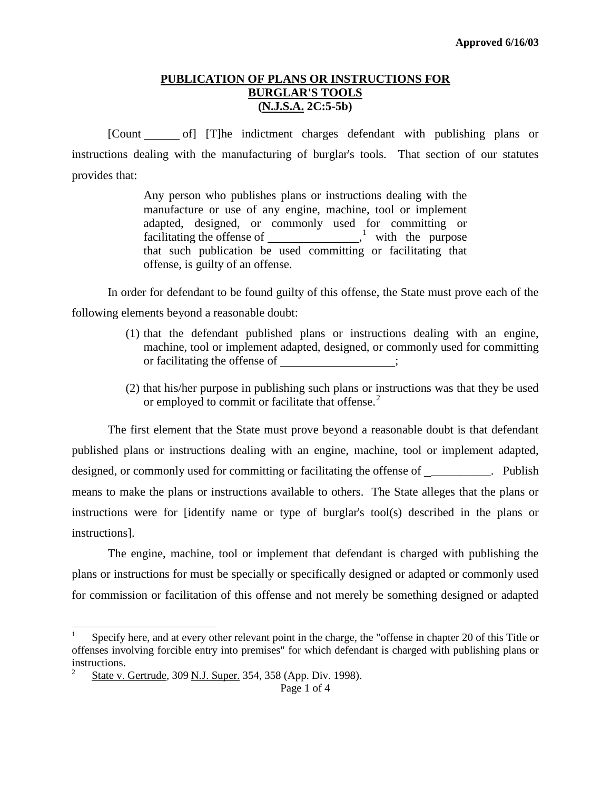#### **PUBLICATION OF PLANS OR INSTRUCTIONS FOR BURGLAR'S TOOLS (N.J.S.A. 2C:5-5b)**

[Count of] [T]he indictment charges defendant with publishing plans or instructions dealing with the manufacturing of burglar's tools. That section of our statutes provides that:

> Any person who publishes plans or instructions dealing with the manufacture or use of any engine, machine, tool or implement adapted, designed, or commonly used for committing or facilitating the offense of  $\frac{1}{1}$  $\frac{1}{1}$  $\frac{1}{1}$  with the purpose that such publication be used committing or facilitating that offense, is guilty of an offense.

In order for defendant to be found guilty of this offense, the State must prove each of the following elements beyond a reasonable doubt:

- (1) that the defendant published plans or instructions dealing with an engine, machine, tool or implement adapted, designed, or commonly used for committing or facilitating the offense of \_\_\_\_\_\_\_\_\_\_\_\_\_;
- (2) that his/her purpose in publishing such plans or instructions was that they be used or employed to commit or facilitate that offense.<sup>[2](#page-0-1)</sup>

The first element that the State must prove beyond a reasonable doubt is that defendant published plans or instructions dealing with an engine, machine, tool or implement adapted, designed, or commonly used for committing or facilitating the offense of \_\_\_\_\_\_\_\_\_\_. Publish means to make the plans or instructions available to others. The State alleges that the plans or instructions were for [identify name or type of burglar's tool(s) described in the plans or instructions].

The engine, machine, tool or implement that defendant is charged with publishing the plans or instructions for must be specially or specifically designed or adapted or commonly used for commission or facilitation of this offense and not merely be something designed or adapted

<span id="page-0-2"></span><span id="page-0-0"></span>1 Specify here, and at every other relevant point in the charge, the "offense in chapter 20 of this Title or offenses involving forcible entry into premises" for which defendant is charged with publishing plans or instructions.

<span id="page-0-1"></span><sup>2</sup> State v. Gertrude, 309 N.J. Super. 354, 358 (App. Div. 1998).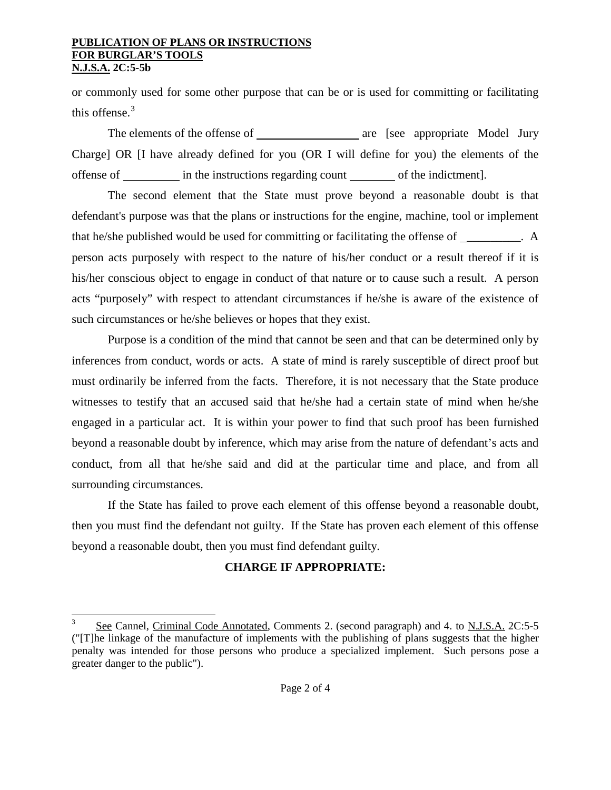#### **PUBLICATION OF PLANS OR INSTRUCTIONS FOR BURGLAR'S TOOLS N.J.S.A. 2C:5-5b**

or commonly used for some other purpose that can be or is used for committing or facilitating this offense. $3$ 

The elements of the offense of are [see appropriate Model Jury Charge] OR [I have already defined for you (OR I will define for you) the elements of the offense of in the instructions regarding count of the indictment.

The second element that the State must prove beyond a reasonable doubt is that defendant's purpose was that the plans or instructions for the engine, machine, tool or implement that he/she published would be used for committing or facilitating the offense of  $\overline{A}$ . person acts purposely with respect to the nature of his/her conduct or a result thereof if it is his/her conscious object to engage in conduct of that nature or to cause such a result. A person acts "purposely" with respect to attendant circumstances if he/she is aware of the existence of such circumstances or he/she believes or hopes that they exist.

Purpose is a condition of the mind that cannot be seen and that can be determined only by inferences from conduct, words or acts. A state of mind is rarely susceptible of direct proof but must ordinarily be inferred from the facts. Therefore, it is not necessary that the State produce witnesses to testify that an accused said that he/she had a certain state of mind when he/she engaged in a particular act. It is within your power to find that such proof has been furnished beyond a reasonable doubt by inference, which may arise from the nature of defendant's acts and conduct, from all that he/she said and did at the particular time and place, and from all surrounding circumstances.

If the State has failed to prove each element of this offense beyond a reasonable doubt, then you must find the defendant not guilty. If the State has proven each element of this offense beyond a reasonable doubt, then you must find defendant guilty.

# **CHARGE IF APPROPRIATE:**

3 See Cannel, Criminal Code Annotated, Comments 2. (second paragraph) and 4. to N.J.S.A. 2C:5-5 ("[T]he linkage of the manufacture of implements with the publishing of plans suggests that the higher penalty was intended for those persons who produce a specialized implement. Such persons pose a greater danger to the public").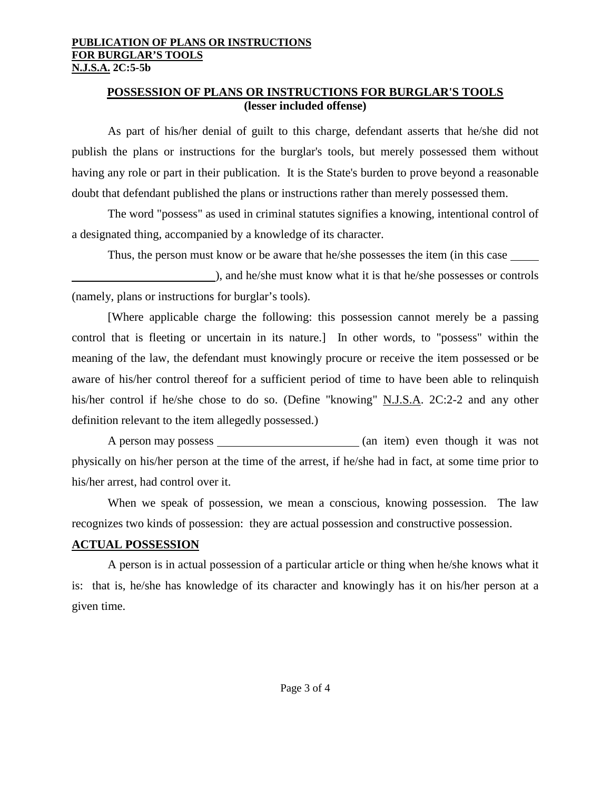## **POSSESSION OF PLANS OR INSTRUCTIONS FOR BURGLAR'S TOOLS (lesser included offense)**

As part of his/her denial of guilt to this charge, defendant asserts that he/she did not publish the plans or instructions for the burglar's tools, but merely possessed them without having any role or part in their publication. It is the State's burden to prove beyond a reasonable doubt that defendant published the plans or instructions rather than merely possessed them.

The word "possess" as used in criminal statutes signifies a knowing, intentional control of a designated thing, accompanied by a knowledge of its character.

Thus, the person must know or be aware that he/she possesses the item (in this case

), and he/she must know what it is that he/she possesses or controls (namely, plans or instructions for burglar's tools).

[Where applicable charge the following: this possession cannot merely be a passing control that is fleeting or uncertain in its nature.] In other words, to "possess" within the meaning of the law, the defendant must knowingly procure or receive the item possessed or be aware of his/her control thereof for a sufficient period of time to have been able to relinquish his/her control if he/she chose to do so. (Define "knowing" N.J.S.A. 2C:2-2 and any other definition relevant to the item allegedly possessed.)

A person may possess (an item) even though it was not physically on his/her person at the time of the arrest, if he/she had in fact, at some time prior to his/her arrest, had control over it.

When we speak of possession, we mean a conscious, knowing possession. The law recognizes two kinds of possession: they are actual possession and constructive possession.

# **ACTUAL POSSESSION**

A person is in actual possession of a particular article or thing when he/she knows what it is: that is, he/she has knowledge of its character and knowingly has it on his/her person at a given time.